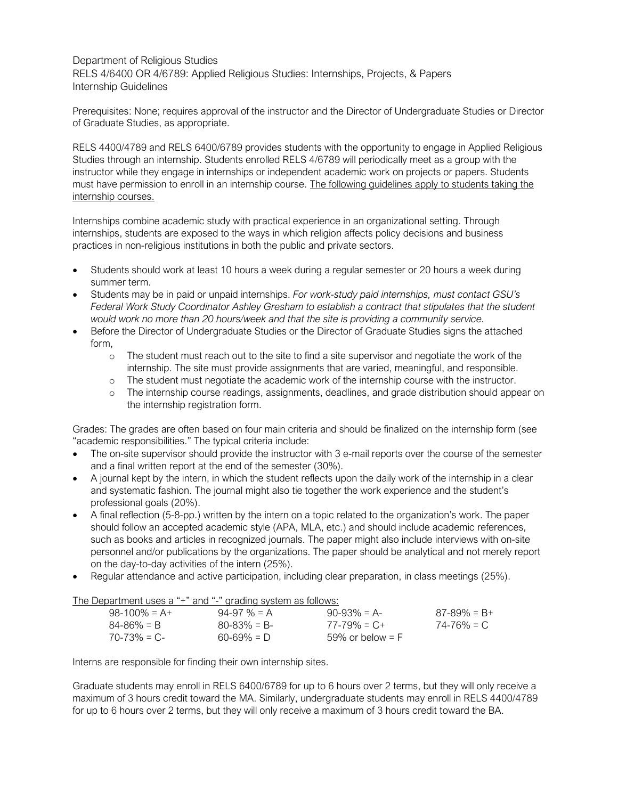Department of Religious Studies RELS 4/6400 OR 4/6789: Applied Religious Studies: Internships, Projects, & Papers Internship Guidelines

Prerequisites: None; requires approval of the instructor and the Director of Undergraduate Studies or Director of Graduate Studies, as appropriate.

RELS 4400/4789 and RELS 6400/6789 provides students with the opportunity to engage in Applied Religious Studies through an internship. Students enrolled RELS 4/6789 will periodically meet as a group with the instructor while they engage in internships or independent academic work on projects or papers. Students must have permission to enroll in an internship course. The following guidelines apply to students taking the internship courses.

Internships combine academic study with practical experience in an organizational setting. Through internships, students are exposed to the ways in which religion affects policy decisions and business practices in non-religious institutions in both the public and private sectors.

- Students should work at least 10 hours a week during a regular semester or 20 hours a week during summer term.
- Students may be in paid or unpaid internships. *For work-study paid internships, must contact GSU's Federal Work Study Coordinator Ashley Gresham to establish a contract that stipulates that the student would work no more than 20 hours/week and that the site is providing a community service.*
- Before the Director of Undergraduate Studies or the Director of Graduate Studies signs the attached form,
	- o The student must reach out to the site to find a site supervisor and negotiate the work of the internship. The site must provide assignments that are varied, meaningful, and responsible.
	- o The student must negotiate the academic work of the internship course with the instructor.
	- o The internship course readings, assignments, deadlines, and grade distribution should appear on the internship registration form.

Grades: The grades are often based on four main criteria and should be finalized on the internship form (see "academic responsibilities." The typical criteria include:

- The on-site supervisor should provide the instructor with 3 e-mail reports over the course of the semester and a final written report at the end of the semester (30%).
- A journal kept by the intern, in which the student reflects upon the daily work of the internship in a clear and systematic fashion. The journal might also tie together the work experience and the student's professional goals (20%).
- A final reflection (5-8-pp.) written by the intern on a topic related to the organization's work. The paper should follow an accepted academic style (APA, MLA, etc.) and should include academic references, such as books and articles in recognized journals. The paper might also include interviews with on-site personnel and/or publications by the organizations. The paper should be analytical and not merely report on the day-to-day activities of the intern (25%).
- Regular attendance and active participation, including clear preparation, in class meetings (25%).

## The Department uses a "+" and "-" grading system as follows:

|                 | .               |                   |                 |
|-----------------|-----------------|-------------------|-----------------|
| $98-100\% = A+$ | $94-97\% = A$   | $90-93\% = A$     | $87-89\% = B+$  |
| $84 - 86\% = B$ | $80 - 83\% = B$ | $77 - 79\% = C +$ | $74 - 76\% = C$ |
| $70 - 73\% = C$ | $60 - 69\% = D$ | 59% or below = F  |                 |

Interns are responsible for finding their own internship sites.

Graduate students may enroll in RELS 6400/6789 for up to 6 hours over 2 terms, but they will only receive a maximum of 3 hours credit toward the MA. Similarly, undergraduate students may enroll in RELS 4400/4789 for up to 6 hours over 2 terms, but they will only receive a maximum of 3 hours credit toward the BA.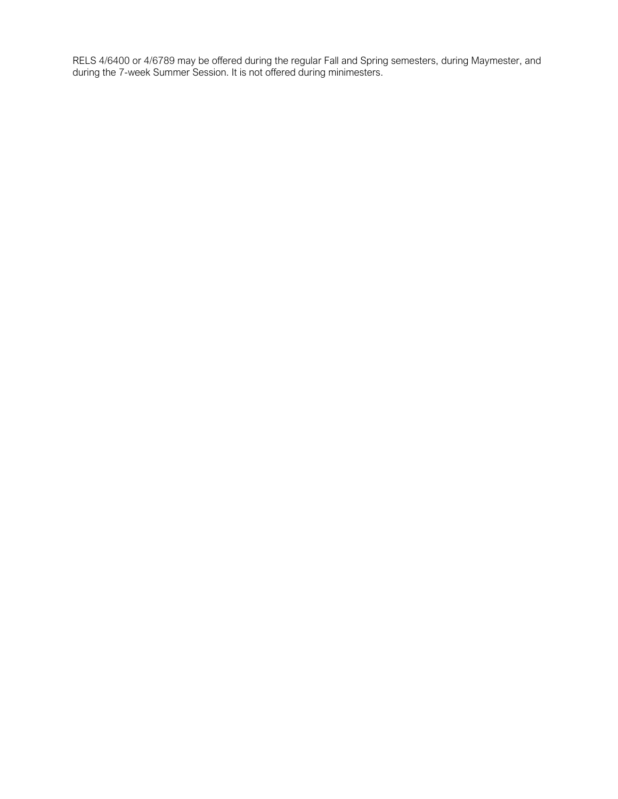RELS 4/6400 or 4/6789 may be offered during the regular Fall and Spring semesters, during Maymester, and during the 7-week Summer Session. It is not offered during minimesters.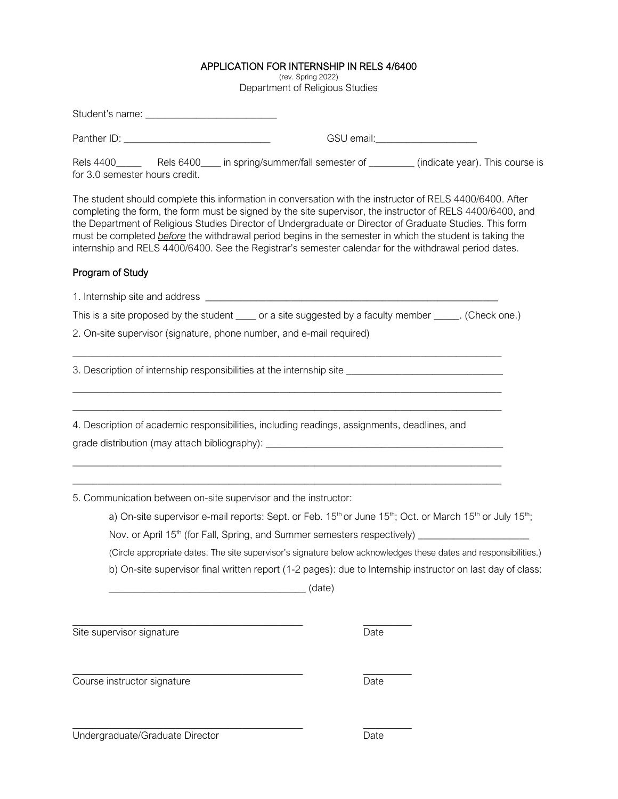## APPLICATION FOR INTERNSHIP IN RELS 4/6400<br>(rev. Spring 2022)

Department of Religious Studies

|                                                                                                                                                                                                                                                                                                                                                                                                                                                                                                                                                          | GSU email:_______________________                                                                                                                         |
|----------------------------------------------------------------------------------------------------------------------------------------------------------------------------------------------------------------------------------------------------------------------------------------------------------------------------------------------------------------------------------------------------------------------------------------------------------------------------------------------------------------------------------------------------------|-----------------------------------------------------------------------------------------------------------------------------------------------------------|
| Rels 4400_________ Rels 6400_____ in spring/summer/fall semester of __________ (indicate year). This course is<br>for 3.0 semester hours credit.                                                                                                                                                                                                                                                                                                                                                                                                         |                                                                                                                                                           |
| The student should complete this information in conversation with the instructor of RELS 4400/6400. After<br>completing the form, the form must be signed by the site supervisor, the instructor of RELS 4400/6400, and<br>the Department of Religious Studies Director of Undergraduate or Director of Graduate Studies. This form<br>must be completed before the withdrawal period begins in the semester in which the student is taking the<br>internship and RELS 4400/6400. See the Registrar's semester calendar for the withdrawal period dates. |                                                                                                                                                           |
| Program of Study                                                                                                                                                                                                                                                                                                                                                                                                                                                                                                                                         |                                                                                                                                                           |
|                                                                                                                                                                                                                                                                                                                                                                                                                                                                                                                                                          |                                                                                                                                                           |
| This is a site proposed by the student _____ or a site suggested by a faculty member _____. (Check one.)                                                                                                                                                                                                                                                                                                                                                                                                                                                 |                                                                                                                                                           |
| 2. On-site supervisor (signature, phone number, and e-mail required)                                                                                                                                                                                                                                                                                                                                                                                                                                                                                     |                                                                                                                                                           |
| 3. Description of internship responsibilities at the internship site ______________________________                                                                                                                                                                                                                                                                                                                                                                                                                                                      |                                                                                                                                                           |
| 4. Description of academic responsibilities, including readings, assignments, deadlines, and                                                                                                                                                                                                                                                                                                                                                                                                                                                             |                                                                                                                                                           |
|                                                                                                                                                                                                                                                                                                                                                                                                                                                                                                                                                          |                                                                                                                                                           |
|                                                                                                                                                                                                                                                                                                                                                                                                                                                                                                                                                          |                                                                                                                                                           |
| 5. Communication between on-site supervisor and the instructor:                                                                                                                                                                                                                                                                                                                                                                                                                                                                                          |                                                                                                                                                           |
|                                                                                                                                                                                                                                                                                                                                                                                                                                                                                                                                                          | a) On-site supervisor e-mail reports: Sept. or Feb. 15 <sup>th</sup> or June 15 <sup>th</sup> ; Oct. or March 15 <sup>th</sup> or July 15 <sup>th</sup> ; |
|                                                                                                                                                                                                                                                                                                                                                                                                                                                                                                                                                          | Nov. or April 15 <sup>th</sup> (for Fall, Spring, and Summer semesters respectively) _________________________                                            |
|                                                                                                                                                                                                                                                                                                                                                                                                                                                                                                                                                          | (Circle appropriate dates. The site supervisor's signature below acknowledges these dates and responsibilities.)                                          |
|                                                                                                                                                                                                                                                                                                                                                                                                                                                                                                                                                          | b) On-site supervisor final written report (1-2 pages): due to Internship instructor on last day of class:                                                |
|                                                                                                                                                                                                                                                                                                                                                                                                                                                                                                                                                          |                                                                                                                                                           |
| Site supervisor signature                                                                                                                                                                                                                                                                                                                                                                                                                                                                                                                                | Date                                                                                                                                                      |

**Course instructor signature** Date

Undergraduate/Graduate Director Date

 $\_$  , and the set of the set of the set of the set of the set of the set of the set of the set of the set of the set of the set of the set of the set of the set of the set of the set of the set of the set of the set of th